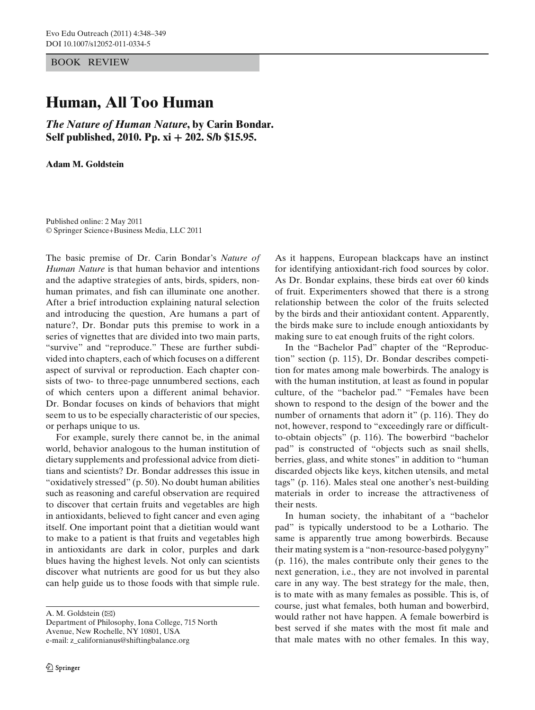BOOK REVIEW

## **Human, All Too Human**

*The Nature of Human Nature***, by Carin Bondar. Self published, 2010. Pp. xi + 202. S/b \$15.95.**

**Adam M. Goldstein**

Published online: 2 May 2011 © Springer Science+Business Media, LLC 2011

The basic premise of Dr. Carin Bondar's *Nature of Human Nature* is that human behavior and intentions and the adaptive strategies of ants, birds, spiders, nonhuman primates, and fish can illuminate one another. After a brief introduction explaining natural selection and introducing the question, Are humans a part of nature?, Dr. Bondar puts this premise to work in a series of vignettes that are divided into two main parts, "survive" and "reproduce." These are further subdivided into chapters, each of which focuses on a different aspect of survival or reproduction. Each chapter consists of two- to three-page unnumbered sections, each of which centers upon a different animal behavior. Dr. Bondar focuses on kinds of behaviors that might seem to us to be especially characteristic of our species, or perhaps unique to us.

For example, surely there cannot be, in the animal world, behavior analogous to the human institution of dietary supplements and professional advice from dietitians and scientists? Dr. Bondar addresses this issue in "oxidatively stressed" (p. 50). No doubt human abilities such as reasoning and careful observation are required to discover that certain fruits and vegetables are high in antioxidants, believed to fight cancer and even aging itself. One important point that a dietitian would want to make to a patient is that fruits and vegetables high in antioxidants are dark in color, purples and dark blues having the highest levels. Not only can scientists discover what nutrients are good for us but they also can help guide us to those foods with that simple rule.

A. M. Goldstein  $(\boxtimes)$ 

Department of Philosophy, Iona College, 715 North Avenue, New Rochelle, NY 10801, USA e-mail: z\_californianus@shiftingbalance.org

As it happens, European blackcaps have an instinct for identifying antioxidant-rich food sources by color. As Dr. Bondar explains, these birds eat over 60 kinds of fruit. Experimenters showed that there is a strong relationship between the color of the fruits selected by the birds and their antioxidant content. Apparently, the birds make sure to include enough antioxidants by making sure to eat enough fruits of the right colors.

In the "Bachelor Pad" chapter of the "Reproduction" section (p. 115), Dr. Bondar describes competition for mates among male bowerbirds. The analogy is with the human institution, at least as found in popular culture, of the "bachelor pad." "Females have been shown to respond to the design of the bower and the number of ornaments that adorn it" (p. 116). They do not, however, respond to "exceedingly rare or difficultto-obtain objects" (p. 116). The bowerbird "bachelor pad" is constructed of "objects such as snail shells, berries, glass, and white stones" in addition to "human discarded objects like keys, kitchen utensils, and metal tags" (p. 116). Males steal one another's nest-building materials in order to increase the attractiveness of their nests.

In human society, the inhabitant of a "bachelor pad" is typically understood to be a Lothario. The same is apparently true among bowerbirds. Because their mating system is a "non-resource-based polygyny" (p. 116), the males contribute only their genes to the next generation, i.e., they are not involved in parental care in any way. The best strategy for the male, then, is to mate with as many females as possible. This is, of course, just what females, both human and bowerbird, would rather not have happen. A female bowerbird is best served if she mates with the most fit male and that male mates with no other females. In this way,